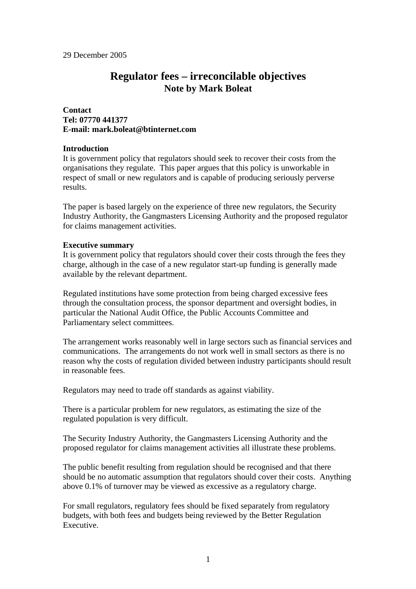# **Regulator fees – irreconcilable objectives Note by Mark Boleat**

## **Contact Tel: 07770 441377 E-mail: mark.boleat@btinternet.com**

#### **Introduction**

It is government policy that regulators should seek to recover their costs from the organisations they regulate. This paper argues that this policy is unworkable in respect of small or new regulators and is capable of producing seriously perverse results.

The paper is based largely on the experience of three new regulators, the Security Industry Authority, the Gangmasters Licensing Authority and the proposed regulator for claims management activities.

#### **Executive summary**

It is government policy that regulators should cover their costs through the fees they charge, although in the case of a new regulator start-up funding is generally made available by the relevant department.

Regulated institutions have some protection from being charged excessive fees through the consultation process, the sponsor department and oversight bodies, in particular the National Audit Office, the Public Accounts Committee and Parliamentary select committees.

The arrangement works reasonably well in large sectors such as financial services and communications. The arrangements do not work well in small sectors as there is no reason why the costs of regulation divided between industry participants should result in reasonable fees.

Regulators may need to trade off standards as against viability.

There is a particular problem for new regulators, as estimating the size of the regulated population is very difficult.

The Security Industry Authority, the Gangmasters Licensing Authority and the proposed regulator for claims management activities all illustrate these problems.

The public benefit resulting from regulation should be recognised and that there should be no automatic assumption that regulators should cover their costs. Anything above 0.1% of turnover may be viewed as excessive as a regulatory charge.

For small regulators, regulatory fees should be fixed separately from regulatory budgets, with both fees and budgets being reviewed by the Better Regulation Executive.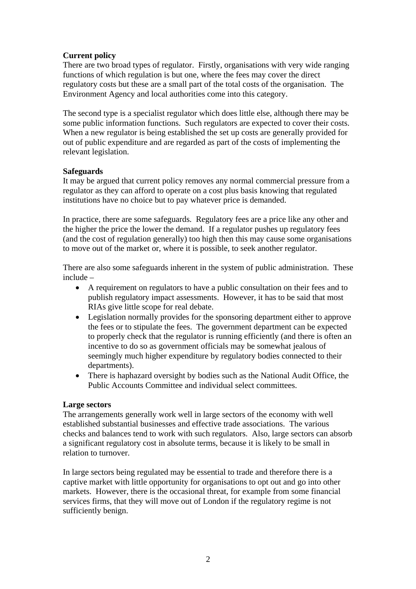# **Current policy**

There are two broad types of regulator. Firstly, organisations with very wide ranging functions of which regulation is but one, where the fees may cover the direct regulatory costs but these are a small part of the total costs of the organisation. The Environment Agency and local authorities come into this category.

The second type is a specialist regulator which does little else, although there may be some public information functions. Such regulators are expected to cover their costs. When a new regulator is being established the set up costs are generally provided for out of public expenditure and are regarded as part of the costs of implementing the relevant legislation.

# **Safeguards**

It may be argued that current policy removes any normal commercial pressure from a regulator as they can afford to operate on a cost plus basis knowing that regulated institutions have no choice but to pay whatever price is demanded.

In practice, there are some safeguards. Regulatory fees are a price like any other and the higher the price the lower the demand. If a regulator pushes up regulatory fees (and the cost of regulation generally) too high then this may cause some organisations to move out of the market or, where it is possible, to seek another regulator.

There are also some safeguards inherent in the system of public administration. These include –

- A requirement on regulators to have a public consultation on their fees and to publish regulatory impact assessments. However, it has to be said that most RIAs give little scope for real debate.
- Legislation normally provides for the sponsoring department either to approve the fees or to stipulate the fees. The government department can be expected to properly check that the regulator is running efficiently (and there is often an incentive to do so as government officials may be somewhat jealous of seemingly much higher expenditure by regulatory bodies connected to their departments).
- There is haphazard oversight by bodies such as the National Audit Office, the Public Accounts Committee and individual select committees.

## **Large sectors**

The arrangements generally work well in large sectors of the economy with well established substantial businesses and effective trade associations. The various checks and balances tend to work with such regulators. Also, large sectors can absorb a significant regulatory cost in absolute terms, because it is likely to be small in relation to turnover.

In large sectors being regulated may be essential to trade and therefore there is a captive market with little opportunity for organisations to opt out and go into other markets. However, there is the occasional threat, for example from some financial services firms, that they will move out of London if the regulatory regime is not sufficiently benign.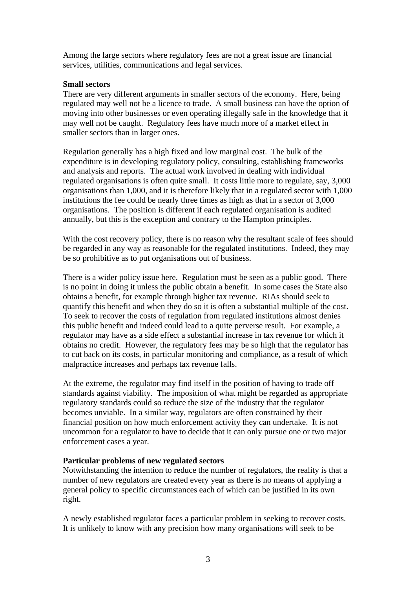Among the large sectors where regulatory fees are not a great issue are financial services, utilities, communications and legal services.

## **Small sectors**

There are very different arguments in smaller sectors of the economy. Here, being regulated may well not be a licence to trade. A small business can have the option of moving into other businesses or even operating illegally safe in the knowledge that it may well not be caught. Regulatory fees have much more of a market effect in smaller sectors than in larger ones.

Regulation generally has a high fixed and low marginal cost. The bulk of the expenditure is in developing regulatory policy, consulting, establishing frameworks and analysis and reports. The actual work involved in dealing with individual regulated organisations is often quite small. It costs little more to regulate, say, 3,000 organisations than 1,000, and it is therefore likely that in a regulated sector with 1,000 institutions the fee could be nearly three times as high as that in a sector of 3,000 organisations. The position is different if each regulated organisation is audited annually, but this is the exception and contrary to the Hampton principles.

With the cost recovery policy, there is no reason why the resultant scale of fees should be regarded in any way as reasonable for the regulated institutions. Indeed, they may be so prohibitive as to put organisations out of business.

There is a wider policy issue here. Regulation must be seen as a public good. There is no point in doing it unless the public obtain a benefit. In some cases the State also obtains a benefit, for example through higher tax revenue. RIAs should seek to quantify this benefit and when they do so it is often a substantial multiple of the cost. To seek to recover the costs of regulation from regulated institutions almost denies this public benefit and indeed could lead to a quite perverse result. For example, a regulator may have as a side effect a substantial increase in tax revenue for which it obtains no credit. However, the regulatory fees may be so high that the regulator has to cut back on its costs, in particular monitoring and compliance, as a result of which malpractice increases and perhaps tax revenue falls.

At the extreme, the regulator may find itself in the position of having to trade off standards against viability. The imposition of what might be regarded as appropriate regulatory standards could so reduce the size of the industry that the regulator becomes unviable. In a similar way, regulators are often constrained by their financial position on how much enforcement activity they can undertake. It is not uncommon for a regulator to have to decide that it can only pursue one or two major enforcement cases a year.

## **Particular problems of new regulated sectors**

Notwithstanding the intention to reduce the number of regulators, the reality is that a number of new regulators are created every year as there is no means of applying a general policy to specific circumstances each of which can be justified in its own right.

A newly established regulator faces a particular problem in seeking to recover costs. It is unlikely to know with any precision how many organisations will seek to be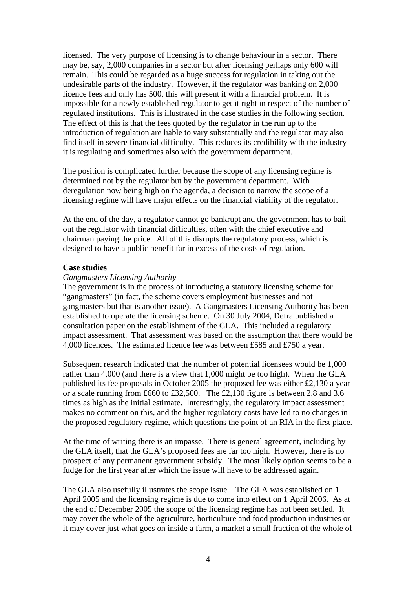licensed. The very purpose of licensing is to change behaviour in a sector. There may be, say, 2,000 companies in a sector but after licensing perhaps only 600 will remain. This could be regarded as a huge success for regulation in taking out the undesirable parts of the industry. However, if the regulator was banking on 2,000 licence fees and only has 500, this will present it with a financial problem. It is impossible for a newly established regulator to get it right in respect of the number of regulated institutions. This is illustrated in the case studies in the following section. The effect of this is that the fees quoted by the regulator in the run up to the introduction of regulation are liable to vary substantially and the regulator may also find itself in severe financial difficulty. This reduces its credibility with the industry it is regulating and sometimes also with the government department.

The position is complicated further because the scope of any licensing regime is determined not by the regulator but by the government department. With deregulation now being high on the agenda, a decision to narrow the scope of a licensing regime will have major effects on the financial viability of the regulator.

At the end of the day, a regulator cannot go bankrupt and the government has to bail out the regulator with financial difficulties, often with the chief executive and chairman paying the price. All of this disrupts the regulatory process, which is designed to have a public benefit far in excess of the costs of regulation.

# **Case studies**

#### *Gangmasters Licensing Authority*

The government is in the process of introducing a statutory licensing scheme for "gangmasters" (in fact, the scheme covers employment businesses and not gangmasters but that is another issue). A Gangmasters Licensing Authority has been established to operate the licensing scheme. On 30 July 2004, Defra published a consultation paper on the establishment of the GLA. This included a regulatory impact assessment. That assessment was based on the assumption that there would be 4,000 licences. The estimated licence fee was between £585 and £750 a year.

Subsequent research indicated that the number of potential licensees would be 1,000 rather than 4,000 (and there is a view that 1,000 might be too high). When the GLA published its fee proposals in October 2005 the proposed fee was either £2,130 a year or a scale running from £660 to £32,500. The £2,130 figure is between 2.8 and 3.6 times as high as the initial estimate. Interestingly, the regulatory impact assessment makes no comment on this, and the higher regulatory costs have led to no changes in the proposed regulatory regime, which questions the point of an RIA in the first place.

At the time of writing there is an impasse. There is general agreement, including by the GLA itself, that the GLA's proposed fees are far too high. However, there is no prospect of any permanent government subsidy. The most likely option seems to be a fudge for the first year after which the issue will have to be addressed again.

The GLA also usefully illustrates the scope issue. The GLA was established on 1 April 2005 and the licensing regime is due to come into effect on 1 April 2006. As at the end of December 2005 the scope of the licensing regime has not been settled. It may cover the whole of the agriculture, horticulture and food production industries or it may cover just what goes on inside a farm, a market a small fraction of the whole of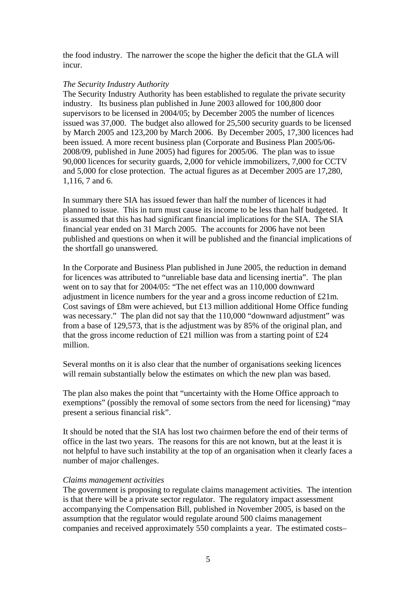the food industry. The narrower the scope the higher the deficit that the GLA will incur.

#### *The Security Industry Authority*

The Security Industry Authority has been established to regulate the private security industry. Its business plan published in June 2003 allowed for 100,800 door supervisors to be licensed in 2004/05; by December 2005 the number of licences issued was 37,000. The budget also allowed for 25,500 security guards to be licensed by March 2005 and 123,200 by March 2006. By December 2005, 17,300 licences had been issued. A more recent business plan (Corporate and Business Plan 2005/06- 2008/09, published in June 2005) had figures for 2005/06. The plan was to issue 90,000 licences for security guards, 2,000 for vehicle immobilizers, 7,000 for CCTV and 5,000 for close protection. The actual figures as at December 2005 are 17,280, 1,116, 7 and 6.

In summary there SIA has issued fewer than half the number of licences it had planned to issue. This in turn must cause its income to be less than half budgeted. It is assumed that this has had significant financial implications for the SIA. The SIA financial year ended on 31 March 2005. The accounts for 2006 have not been published and questions on when it will be published and the financial implications of the shortfall go unanswered.

In the Corporate and Business Plan published in June 2005, the reduction in demand for licences was attributed to "unreliable base data and licensing inertia". The plan went on to say that for 2004/05: "The net effect was an 110,000 downward adjustment in licence numbers for the year and a gross income reduction of £21m. Cost savings of £8m were achieved, but £13 million additional Home Office funding was necessary." The plan did not say that the 110,000 "downward adjustment" was from a base of 129,573, that is the adjustment was by 85% of the original plan, and that the gross income reduction of  $\text{\pounds}21$  million was from a starting point of  $\text{\pounds}24$ million.

Several months on it is also clear that the number of organisations seeking licences will remain substantially below the estimates on which the new plan was based.

The plan also makes the point that "uncertainty with the Home Office approach to exemptions" (possibly the removal of some sectors from the need for licensing) "may present a serious financial risk".

It should be noted that the SIA has lost two chairmen before the end of their terms of office in the last two years. The reasons for this are not known, but at the least it is not helpful to have such instability at the top of an organisation when it clearly faces a number of major challenges.

#### *Claims management activities*

The government is proposing to regulate claims management activities. The intention is that there will be a private sector regulator. The regulatory impact assessment accompanying the Compensation Bill, published in November 2005, is based on the assumption that the regulator would regulate around 500 claims management companies and received approximately 550 complaints a year. The estimated costs–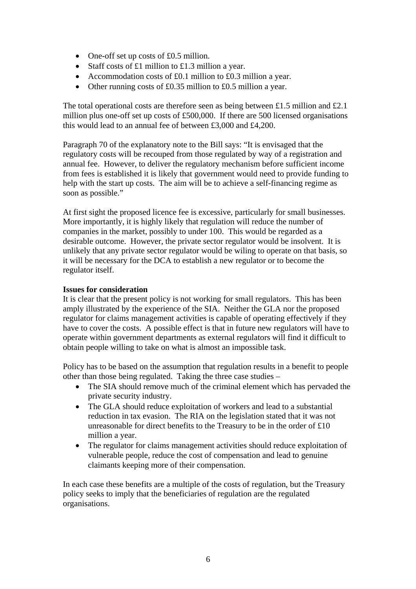- One-off set up costs of £0.5 million.
- Staff costs of £1 million to £1.3 million a year.
- Accommodation costs of £0.1 million to £0.3 million a year.
- Other running costs of £0.35 million to £0.5 million a year.

The total operational costs are therefore seen as being between £1.5 million and £2.1 million plus one-off set up costs of £500,000. If there are 500 licensed organisations this would lead to an annual fee of between £3,000 and £4,200.

Paragraph 70 of the explanatory note to the Bill says: "It is envisaged that the regulatory costs will be recouped from those regulated by way of a registration and annual fee. However, to deliver the regulatory mechanism before sufficient income from fees is established it is likely that government would need to provide funding to help with the start up costs. The aim will be to achieve a self-financing regime as soon as possible."

At first sight the proposed licence fee is excessive, particularly for small businesses. More importantly, it is highly likely that regulation will reduce the number of companies in the market, possibly to under 100. This would be regarded as a desirable outcome. However, the private sector regulator would be insolvent. It is unlikely that any private sector regulator would be wiling to operate on that basis, so it will be necessary for the DCA to establish a new regulator or to become the regulator itself.

# **Issues for consideration**

It is clear that the present policy is not working for small regulators. This has been amply illustrated by the experience of the SIA. Neither the GLA nor the proposed regulator for claims management activities is capable of operating effectively if they have to cover the costs. A possible effect is that in future new regulators will have to operate within government departments as external regulators will find it difficult to obtain people willing to take on what is almost an impossible task.

Policy has to be based on the assumption that regulation results in a benefit to people other than those being regulated. Taking the three case studies –

- The SIA should remove much of the criminal element which has pervaded the private security industry.
- The GLA should reduce exploitation of workers and lead to a substantial reduction in tax evasion. The RIA on the legislation stated that it was not unreasonable for direct benefits to the Treasury to be in the order of £10 million a year.
- The regulator for claims management activities should reduce exploitation of vulnerable people, reduce the cost of compensation and lead to genuine claimants keeping more of their compensation.

In each case these benefits are a multiple of the costs of regulation, but the Treasury policy seeks to imply that the beneficiaries of regulation are the regulated organisations.